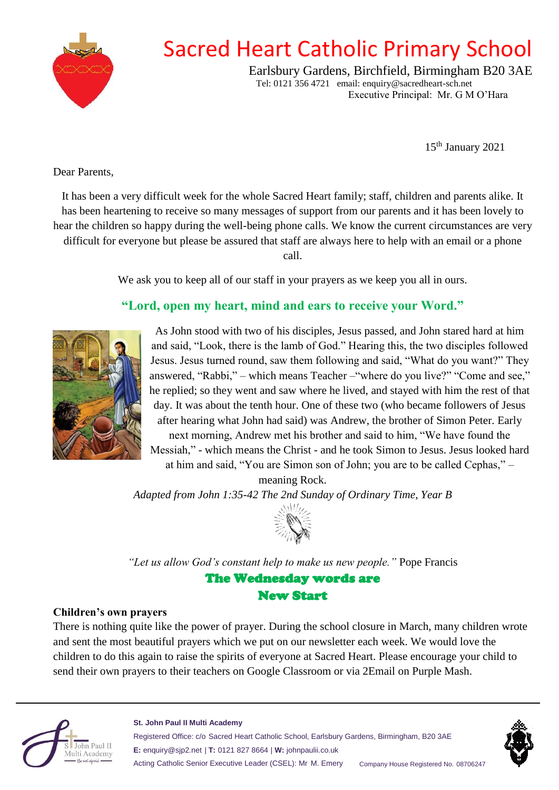

## Sacred Heart Catholic Primary School

Earlsbury Gardens, Birchfield, Birmingham B20 3AE Tel: 0121 356 4721 email: enquiry@sacredheart-sch.net Executive Principal: Mr. G M O'Hara

15th January 2021

Dear Parents,

It has been a very difficult week for the whole Sacred Heart family; staff, children and parents alike. It has been heartening to receive so many messages of support from our parents and it has been lovely to hear the children so happy during the well-being phone calls. We know the current circumstances are very difficult for everyone but please be assured that staff are always here to help with an email or a phone

call.

We ask you to keep all of our staff in your prayers as we keep you all in ours.

### **"Lord, open my heart, mind and ears to receive your Word."**



As John stood with two of his disciples, Jesus passed, and John stared hard at him and said, "Look, there is the lamb of God." Hearing this, the two disciples followed Jesus. Jesus turned round, saw them following and said, "What do you want?" They answered, "Rabbi," – which means Teacher –"where do you live?" "Come and see," he replied; so they went and saw where he lived, and stayed with him the rest of that day. It was about the tenth hour. One of these two (who became followers of Jesus after hearing what John had said) was Andrew, the brother of Simon Peter. Early next morning, Andrew met his brother and said to him, "We have found the

Messiah," - which means the Christ - and he took Simon to Jesus. Jesus looked hard at him and said, "You are Simon son of John; you are to be called Cephas," –

meaning Rock.

*Adapted from John 1:35-42 The 2nd Sunday of Ordinary Time, Year B*



*"Let us allow God's constant help to make us new people."* Pope Francis The Wednesday words are New Start

### **Children's own prayers**

There is nothing quite like the power of prayer. During the school closure in March, many children wrote and sent the most beautiful prayers which we put on our newsletter each week. We would love the children to do this again to raise the spirits of everyone at Sacred Heart. Please encourage your child to send their own prayers to their teachers on Google Classroom or via 2Email on Purple Mash.



#### **St. John Paul II Multi Academy**

Registered Office: c/o Sacred Heart Catholic School, Earlsbury Gardens, Birmingham, B20 3AE **E:** enquiry@sjp2.net | **T:** 0121 827 8664 | **W:** johnpaulii.co.uk Acting Catholic Senior Executive Leader (CSEL): Mr M. Emery Company House Registered No. 08706247